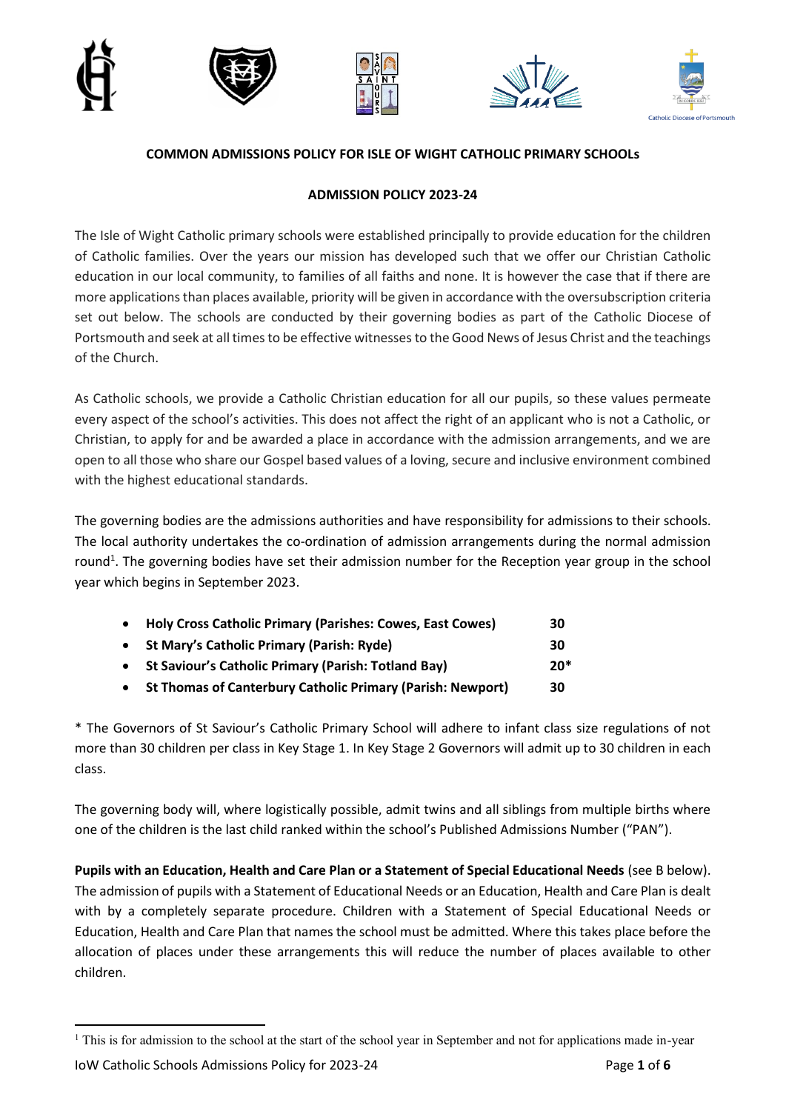









## **COMMON ADMISSIONS POLICY FOR ISLE OF WIGHT CATHOLIC PRIMARY SCHOOLs**

### **ADMISSION POLICY 2023-24**

The Isle of Wight Catholic primary schools were established principally to provide education for the children of Catholic families. Over the years our mission has developed such that we offer our Christian Catholic education in our local community, to families of all faiths and none. It is however the case that if there are more applications than places available, priority will be given in accordance with the oversubscription criteria set out below. The schools are conducted by their governing bodies as part of the Catholic Diocese of Portsmouth and seek at all times to be effective witnesses to the Good News of Jesus Christ and the teachings of the Church.

As Catholic schools, we provide a Catholic Christian education for all our pupils, so these values permeate every aspect of the school's activities. This does not affect the right of an applicant who is not a Catholic, or Christian, to apply for and be awarded a place in accordance with the admission arrangements, and we are open to all those who share our Gospel based values of a loving, secure and inclusive environment combined with the highest educational standards.

The governing bodies are the admissions authorities and have responsibility for admissions to their schools. The local authority undertakes the co-ordination of admission arrangements during the normal admission round<sup>1</sup>. The governing bodies have set their admission number for the Reception year group in the school year which begins in September 2023.

| • Holy Cross Catholic Primary (Parishes: Cowes, East Cowes)  | 30    |
|--------------------------------------------------------------|-------|
| • St Mary's Catholic Primary (Parish: Ryde)                  | 30    |
| • St Saviour's Catholic Primary (Parish: Totland Bay)        | $20*$ |
| • St Thomas of Canterbury Catholic Primary (Parish: Newport) | 30    |

\* The Governors of St Saviour's Catholic Primary School will adhere to infant class size regulations of not more than 30 children per class in Key Stage 1. In Key Stage 2 Governors will admit up to 30 children in each class.

The governing body will, where logistically possible, admit twins and all siblings from multiple births where one of the children is the last child ranked within the school's Published Admissions Number ("PAN").

**Pupils with an Education, Health and Care Plan or a Statement of Special Educational Needs** (see B below). The admission of pupils with a Statement of Educational Needs or an Education, Health and Care Plan is dealt with by a completely separate procedure. Children with a Statement of Special Educational Needs or Education, Health and Care Plan that names the school must be admitted. Where this takes place before the allocation of places under these arrangements this will reduce the number of places available to other children.

<sup>&</sup>lt;sup>1</sup> This is for admission to the school at the start of the school year in September and not for applications made in-year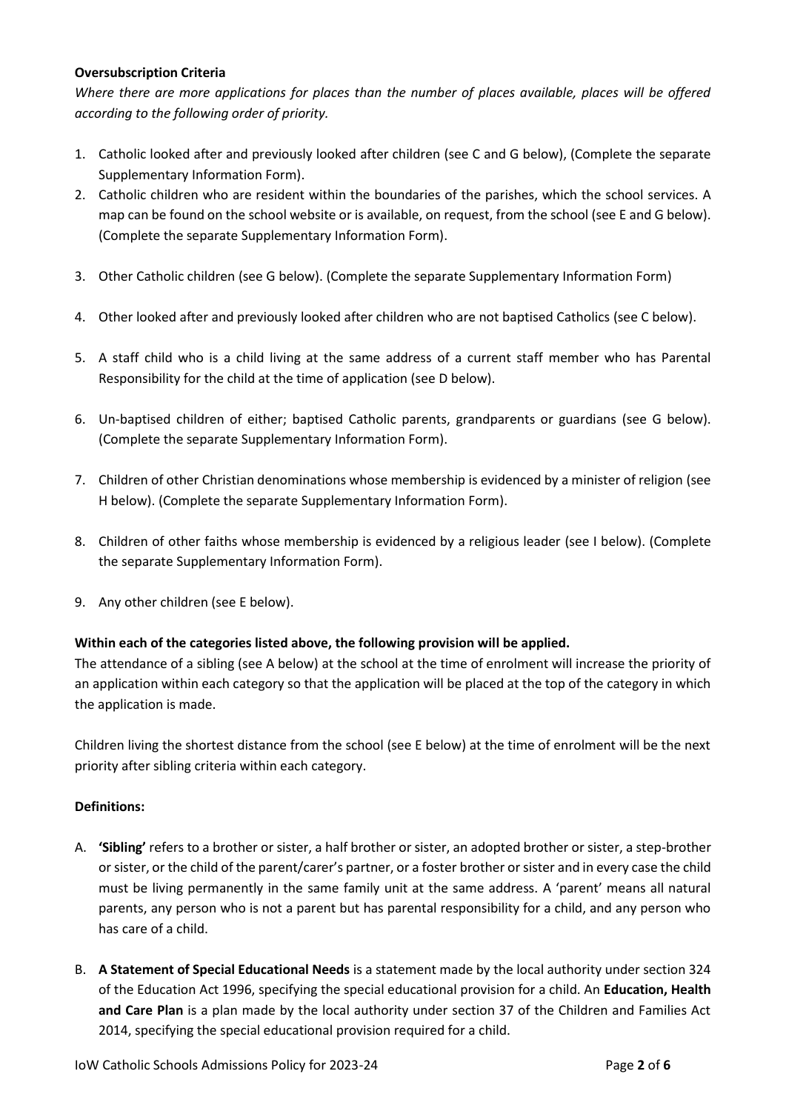### **Oversubscription Criteria**

*Where there are more applications for places than the number of places available, places will be offered according to the following order of priority.*

- 1. Catholic looked after and previously looked after children (see C and G below), (Complete the separate Supplementary Information Form).
- 2. Catholic children who are resident within the boundaries of the parishes, which the school services. A map can be found on the school website or is available, on request, from the school (see E and G below). (Complete the separate Supplementary Information Form).
- 3. Other Catholic children (see G below). (Complete the separate Supplementary Information Form)
- 4. Other looked after and previously looked after children who are not baptised Catholics (see C below).
- 5. A staff child who is a child living at the same address of a current staff member who has Parental Responsibility for the child at the time of application (see D below).
- 6. Un-baptised children of either; baptised Catholic parents, grandparents or guardians (see G below). (Complete the separate Supplementary Information Form).
- 7. Children of other Christian denominations whose membership is evidenced by a minister of religion (see H below). (Complete the separate Supplementary Information Form).
- 8. Children of other faiths whose membership is evidenced by a religious leader (see I below). (Complete the separate Supplementary Information Form).
- 9. Any other children (see E below).

### **Within each of the categories listed above, the following provision will be applied.**

The attendance of a sibling (see A below) at the school at the time of enrolment will increase the priority of an application within each category so that the application will be placed at the top of the category in which the application is made.

Children living the shortest distance from the school (see E below) at the time of enrolment will be the next priority after sibling criteria within each category.

### **Definitions:**

- A. **'Sibling'** refers to a brother or sister, a half brother or sister, an adopted brother or sister, a step-brother or sister, or the child of the parent/carer's partner, or a foster brother or sister and in every case the child must be living permanently in the same family unit at the same address. A 'parent' means all natural parents, any person who is not a parent but has parental responsibility for a child, and any person who has care of a child.
- B. **A Statement of Special Educational Needs** is a statement made by the local authority under section 324 of the Education Act 1996, specifying the special educational provision for a child. An **Education, Health and Care Plan** is a plan made by the local authority under section 37 of the Children and Families Act 2014, specifying the special educational provision required for a child.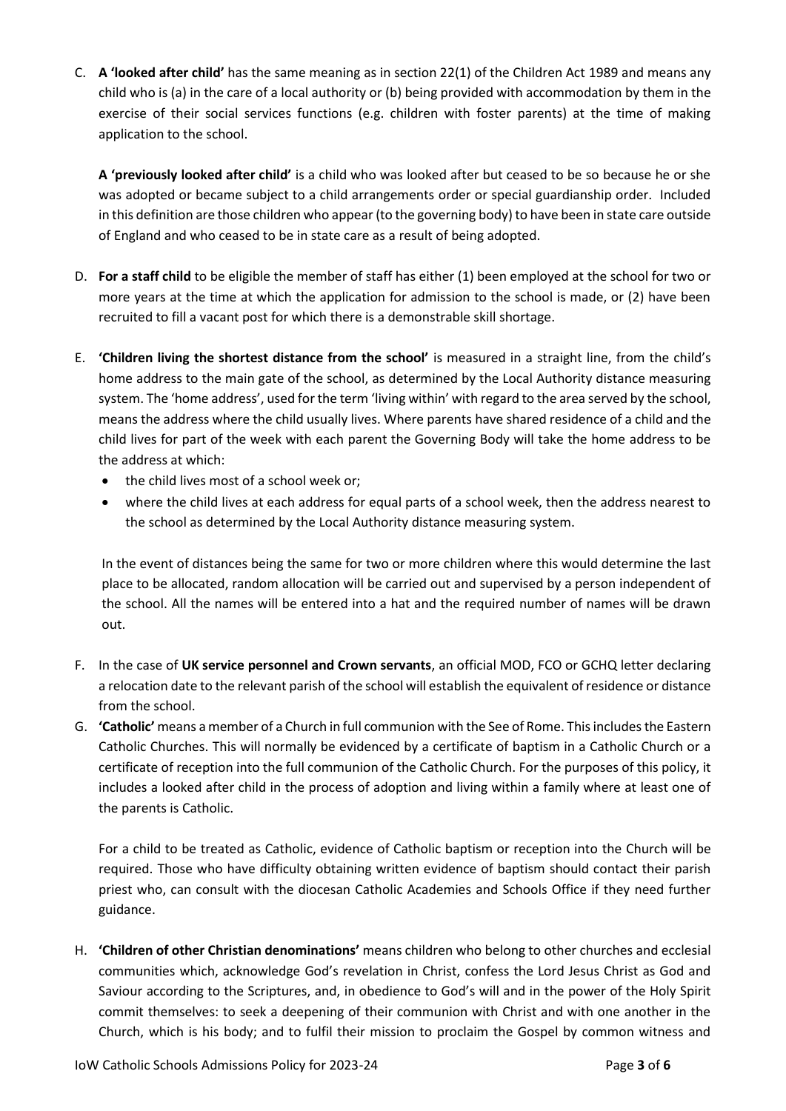C. **A 'looked after child'** has the same meaning as in section 22(1) of the Children Act 1989 and means any child who is (a) in the care of a local authority or (b) being provided with accommodation by them in the exercise of their social services functions (e.g. children with foster parents) at the time of making application to the school.

**A 'previously looked after child'** is a child who was looked after but ceased to be so because he or she was adopted or became subject to a child arrangements order or special guardianship order. Included in this definition are those children who appear (to the governing body) to have been in state care outside of England and who ceased to be in state care as a result of being adopted.

- D. **For a staff child** to be eligible the member of staff has either (1) been employed at the school for two or more years at the time at which the application for admission to the school is made, or (2) have been recruited to fill a vacant post for which there is a demonstrable skill shortage.
- E. **'Children living the shortest distance from the school'** is measured in a straight line, from the child's home address to the main gate of the school, as determined by the Local Authority distance measuring system. The 'home address', used for the term 'living within' with regard to the area served by the school, means the address where the child usually lives. Where parents have shared residence of a child and the child lives for part of the week with each parent the Governing Body will take the home address to be the address at which:
	- the child lives most of a school week or;
	- where the child lives at each address for equal parts of a school week, then the address nearest to the school as determined by the Local Authority distance measuring system.

In the event of distances being the same for two or more children where this would determine the last place to be allocated, random allocation will be carried out and supervised by a person independent of the school. All the names will be entered into a hat and the required number of names will be drawn out.

- F. In the case of **UK service personnel and Crown servants**, an official MOD, FCO or GCHQ letter declaring a relocation date to the relevant parish of the school will establish the equivalent of residence or distance from the school.
- G. **'Catholic'** means a member of a Church in full communion with the See of Rome. This includes the Eastern Catholic Churches. This will normally be evidenced by a certificate of baptism in a Catholic Church or a certificate of reception into the full communion of the Catholic Church. For the purposes of this policy, it includes a looked after child in the process of adoption and living within a family where at least one of the parents is Catholic.

For a child to be treated as Catholic, evidence of Catholic baptism or reception into the Church will be required. Those who have difficulty obtaining written evidence of baptism should contact their parish priest who, can consult with the diocesan Catholic Academies and Schools Office if they need further guidance.

H. **'Children of other Christian denominations'** means children who belong to other churches and ecclesial communities which, acknowledge God's revelation in Christ, confess the Lord Jesus Christ as God and Saviour according to the Scriptures, and, in obedience to God's will and in the power of the Holy Spirit commit themselves: to seek a deepening of their communion with Christ and with one another in the Church, which is his body; and to fulfil their mission to proclaim the Gospel by common witness and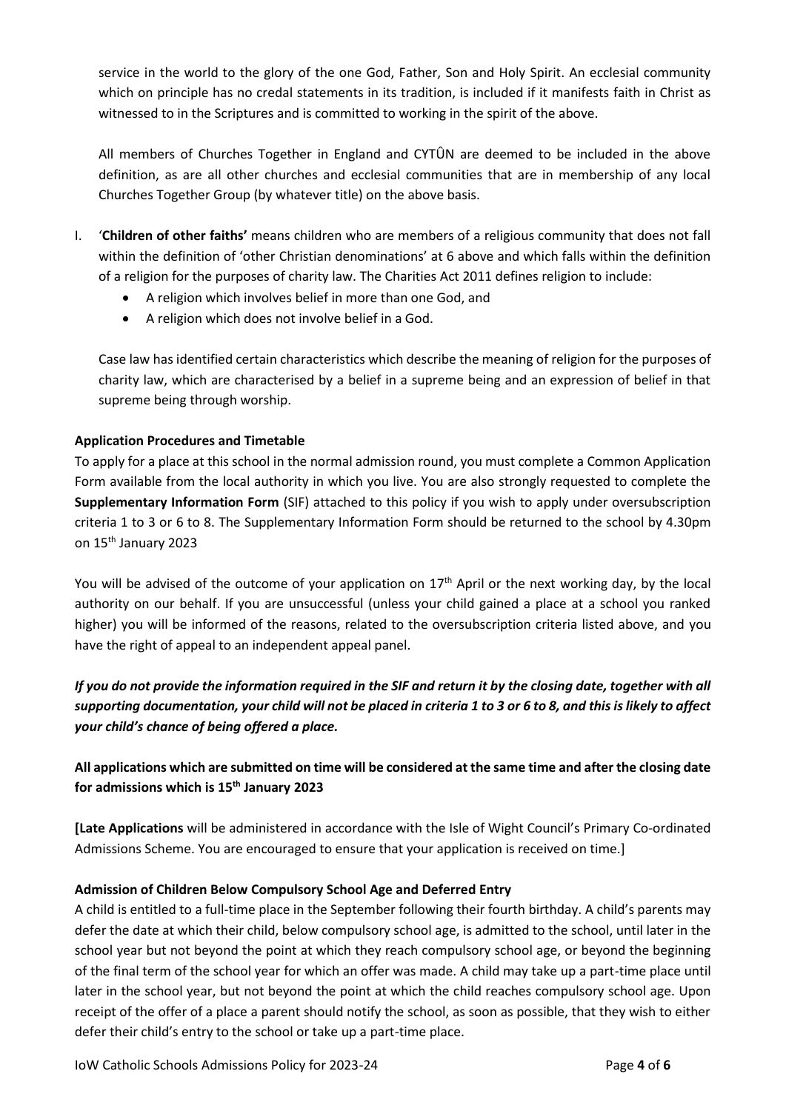service in the world to the glory of the one God, Father, Son and Holy Spirit. An ecclesial community which on principle has no credal statements in its tradition, is included if it manifests faith in Christ as witnessed to in the Scriptures and is committed to working in the spirit of the above.

All members of Churches Together in England and CYTÛN are deemed to be included in the above definition, as are all other churches and ecclesial communities that are in membership of any local Churches Together Group (by whatever title) on the above basis.

- I. '**Children of other faiths'** means children who are members of a religious community that does not fall within the definition of 'other Christian denominations' at 6 above and which falls within the definition of a religion for the purposes of charity law. The Charities Act 2011 defines religion to include:
	- A religion which involves belief in more than one God, and
	- A religion which does not involve belief in a God.

Case law has identified certain characteristics which describe the meaning of religion for the purposes of charity law, which are characterised by a belief in a supreme being and an expression of belief in that supreme being through worship.

### **Application Procedures and Timetable**

To apply for a place at this school in the normal admission round, you must complete a Common Application Form available from the local authority in which you live. You are also strongly requested to complete the **Supplementary Information Form** (SIF) attached to this policy if you wish to apply under oversubscription criteria 1 to 3 or 6 to 8. The Supplementary Information Form should be returned to the school by 4.30pm on 15th January 2023

You will be advised of the outcome of your application on 17<sup>th</sup> April or the next working day, by the local authority on our behalf. If you are unsuccessful (unless your child gained a place at a school you ranked higher) you will be informed of the reasons, related to the oversubscription criteria listed above, and you have the right of appeal to an independent appeal panel.

*If you do not provide the information required in the SIF and return it by the closing date, together with all supporting documentation, your child will not be placed in criteria 1 to 3 or 6 to 8, and this is likely to affect your child's chance of being offered a place.*

# **All applications which are submitted on time will be considered at the same time and after the closing date for admissions which is 15th January 2023**

**[Late Applications** will be administered in accordance with the Isle of Wight Council's Primary Co-ordinated Admissions Scheme. You are encouraged to ensure that your application is received on time.]

### **Admission of Children Below Compulsory School Age and Deferred Entry**

A child is entitled to a full-time place in the September following their fourth birthday. A child's parents may defer the date at which their child, below compulsory school age, is admitted to the school, until later in the school year but not beyond the point at which they reach compulsory school age, or beyond the beginning of the final term of the school year for which an offer was made. A child may take up a part-time place until later in the school year, but not beyond the point at which the child reaches compulsory school age. Upon receipt of the offer of a place a parent should notify the school, as soon as possible, that they wish to either defer their child's entry to the school or take up a part-time place.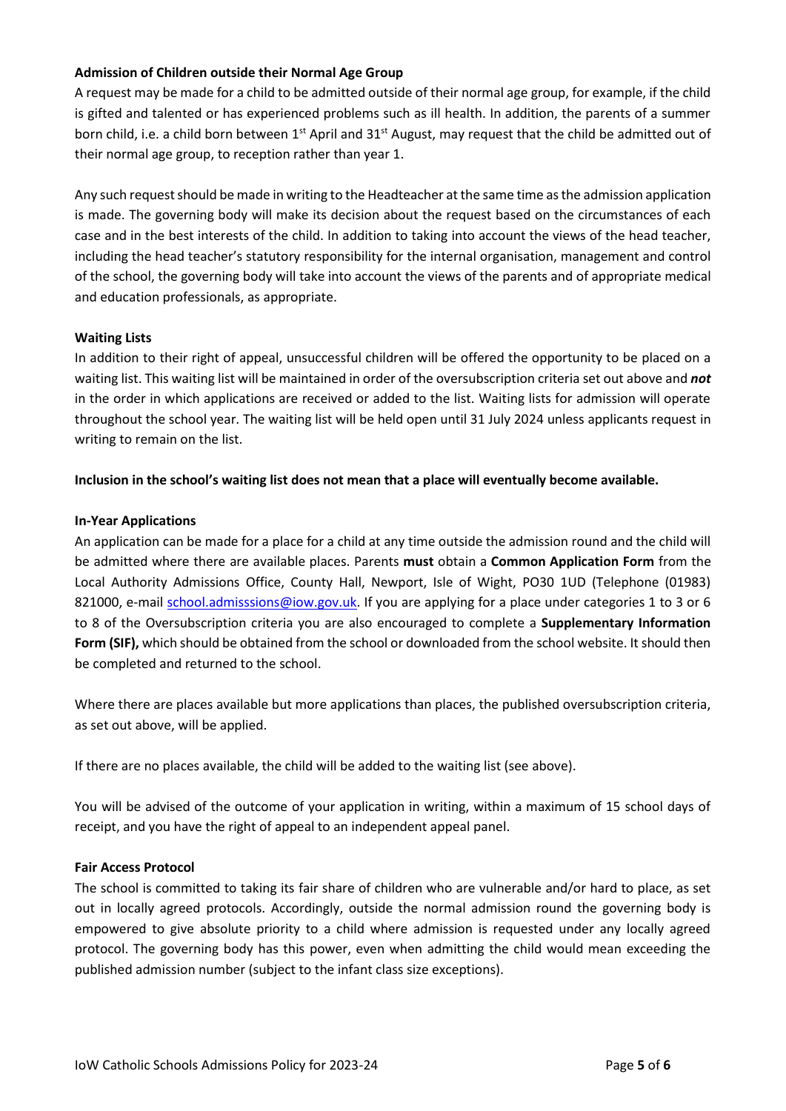### **Admission of Children outside their Normal Age Group**

A request may be made for a child to be admitted outside of their normal age group, for example, if the child is gifted and talented or has experienced problems such as ill health. In addition, the parents of a summer born child, i.e. a child born between 1<sup>st</sup> April and 31<sup>st</sup> August, may request that the child be admitted out of their normal age group, to reception rather than year 1.

Any such request should be made in writing to the Headteacher at the same time as the admission application is made. The governing body will make its decision about the request based on the circumstances of each case and in the best interests of the child. In addition to taking into account the views of the head teacher, including the head teacher's statutory responsibility for the internal organisation, management and control of the school, the governing body will take into account the views of the parents and of appropriate medical and education professionals, as appropriate.

### **Waiting Lists**

In addition to their right of appeal, unsuccessful children will be offered the opportunity to be placed on a waiting list. This waiting list will be maintained in order of the oversubscription criteria set out above and *not* in the order in which applications are received or added to the list. Waiting lists for admission will operate throughout the school year. The waiting list will be held open until 31 July 2024 unless applicants request in writing to remain on the list.

### **Inclusion in the school's waiting list does not mean that a place will eventually become available.**

### **In-Year Applications**

An application can be made for a place for a child at any time outside the admission round and the child will be admitted where there are available places. Parents **must** obtain a **Common Application Form** from the Local Authority Admissions Office, County Hall, Newport, Isle of Wight, PO30 1UD (Telephone (01983) 821000, e-mail [school.admisssions@iow.gov.uk.](mailto:school.admisssions@iow.gov.uk) If you are applying for a place under categories 1 to 3 or 6 to 8 of the Oversubscription criteria you are also encouraged to complete a **Supplementary Information Form (SIF),** which should be obtained from the school or downloaded from the school website. It should then be completed and returned to the school.

Where there are places available but more applications than places, the published oversubscription criteria, as set out above, will be applied.

If there are no places available, the child will be added to the waiting list (see above).

You will be advised of the outcome of your application in writing, within a maximum of 15 school days of receipt, and you have the right of appeal to an independent appeal panel.

#### **Fair Access Protocol**

The school is committed to taking its fair share of children who are vulnerable and/or hard to place, as set out in locally agreed protocols. Accordingly, outside the normal admission round the governing body is empowered to give absolute priority to a child where admission is requested under any locally agreed protocol. The governing body has this power, even when admitting the child would mean exceeding the published admission number (subject to the infant class size exceptions).